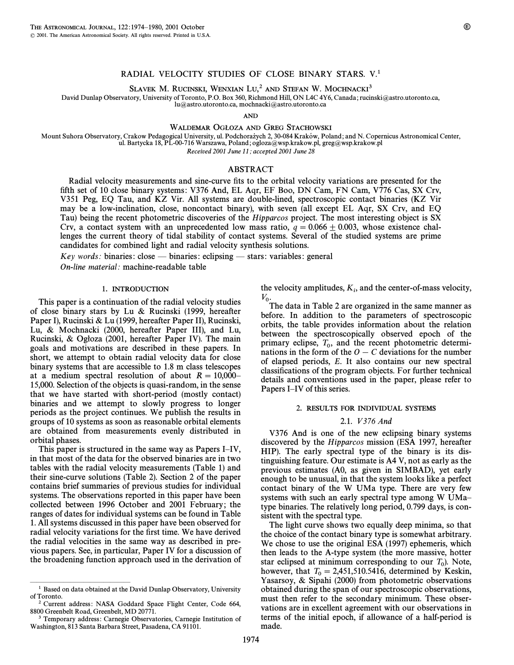SLAVEK M. RUCINSKI, WENXIAN LU,<sup>2</sup> AND STEFAN W. MOCHNACKI<sup>3</sup>

David Dunlap Observatory, University of Toronto, P.O. Box 360, Richmond Hill, ON L4C 4Y6, Canada; rucinski@astro.utoronto.ca,

lu@astro.utoronto.ca, mochnacki@astro.utoronto.ca

AND

WALDEMAR OGŁOZA AND GREG STACHOWSKI

Mount Suhora Observatory, Crakow Pedagogical University, ul. Podchorażych 2, 30-084 Kraków, Poland; and N. Copernicus Astronomical Center, ul. Bartycka 18, PL-00-716 Warszawa, Poland; ogloza=wsp.krakow.pl, greg=wsp.krakow.pl

Received 2001 June 11; accepted 2001 June 28

# ABSTRACT

Radial velocity measurements and sine-curve fits to the orbital velocity variations are presented for the fifth set of 10 close binary systems: V376 And, EL Aqr, EF Boo, DN Cam, FN Cam, V776 Cas, SX Crv, V351 Peg, EQ Tau, and KZ Vir. All systems are double-lined, spectroscopic contact binaries (KZ Vir may be a low-inclination, close, noncontact binary), with seven (all except EL Aqr, SX Crv, and EQ Tau) being the recent photometric discoveries of the Hipparcos project. The most interesting object is SX Crv, a contact system with an unprecedented low mass ratio,  $q = 0.066 \pm 0.003$ , whose existence challenges the current theory of tidal stability of contact systems. Several of the studied systems are prime candidates for combined light and radial velocity synthesis solutions.

 $Key words: binaries: close - binaries: eclipsing - stars: variables: general$ 

On-line material: machine-readable table

### <sup>1</sup>. INTRODUCTION

This paper is a continuation of the radial velocity studies of close binary stars by Lu & Rucinski (1999, hereafter Paper I), Rucinski & Lu (1999, hereafter Paper II), Rucinski, Lu, & Mochnacki (2000, hereafter Paper III), and Lu, Rucinski, & Ogłoza (2001, hereafter Paper IV). The main goals and motivations are described in these papers. In short, we attempt to obtain radial velocity data for close binary systems that are accessible to 1.8 m class telescopes at a medium spectral resolution of about  $R = 10,000$ <sup> $-$ </sup> 15,000. Selection of the objects is quasi-random, in the sense that we have started with short-period (mostly contact) binaries and we attempt to slowly progress to longer periods as the project continues. We publish the results in groups of 10 systems as soon as reasonable orbital elements are obtained from measurements evenly distributed in orbital phases.

This paper is structured in the same way as Papers I–IV, in that most of the data for the observed binaries are in two tables with the radial velocity measurements (Table 1) and their sine-curve solutions (Table 2). Section 2 of the paper contains brief summaries of previous studies for individual systems. The observations reported in this paper have been collected between 1996 October and 2001 February; the ranges of dates for individual systems can be found in Table 1. All systems discussed in this paper have been observed for radial velocity variations for the first time. We have derived the radial velocities in the same way as described in previous papers. See, in particular, Paper IV for a discussion of the broadening function approach used in the derivation of

ÈÈÈÈÈÈÈÈÈÈÈÈÈÈÈ

the velocity amplitudes,  $K_i$ , and the center-of-mass velocity,  $V_{0}$ .

The data in Table 2 are organized in the same manner as before. In addition to the parameters of spectroscopic orbits, the table provides information about the relation between the spectroscopically observed epoch of the primary eclipse,  $T_0$ , and the recent photometric determinations in the form of the  $Q_1$ ,  $C_2$  deviations for the number nations in the form of the  $O - C$  deviations for the number of elapsed periods, E. It also contains our new spectral classifications of the program objects. For further technical details and conventions used in the paper, please refer to Papers I–IV of this series.

## <sup>2</sup>. RESULTS FOR INDIVIDUAL SYSTEMS

# 2.1. V 376 And

V376 And is one of the new eclipsing binary systems discovered by the Hipparcos mission (ESA 1997, hereafter HIP). The early spectral type of the binary is its distinguishing feature. Our estimate is A4 V, not as early as the previous estimates (A0, as given in SIMBAD), yet early enough to be unusual, in that the system looks like a perfect contact binary of the W UMa type. There are very few systems with such an early spectral type among W UMa– type binaries. The relatively long period, 0.799 days, is consistent with the spectral type.

The light curve shows two equally deep minima, so that the choice of the contact binary type is somewhat arbitrary. We chose to use the original ESA (1997) ephemeris, which then leads to the A-type system (the more massive, hotter star eclipsed at minimum corresponding to our  $T_0$ ). Note, however, that  $T_0 = 2.4515105416$ , determined by Kasking however, that  $T_0 = 2{,}451{,}510.5416$ , determined by Keskin,  $Y_0$ Yasarsoy, & Sipahi (2000) from photometric observations obtained during the span of our spectroscopic observations, must then refer to the secondary minimum. These observations are in excellent agreement with our observations in terms of the initial epoch, if allowance of a half-period is made.

<sup>&</sup>lt;sup>1</sup> Based on data obtained at the David Dunlap Observatory, University of Toronto.

<sup>2</sup> Current address: NASA Goddard Space Flight Center, Code 664, 8800 Greenbelt Road, Greenbelt, MD 20771.

<sup>3</sup> Temporary address: Carnegie Observatories, Carnegie Institution of Washington, 813 Santa Barbara Street, Pasadena, CA 91101.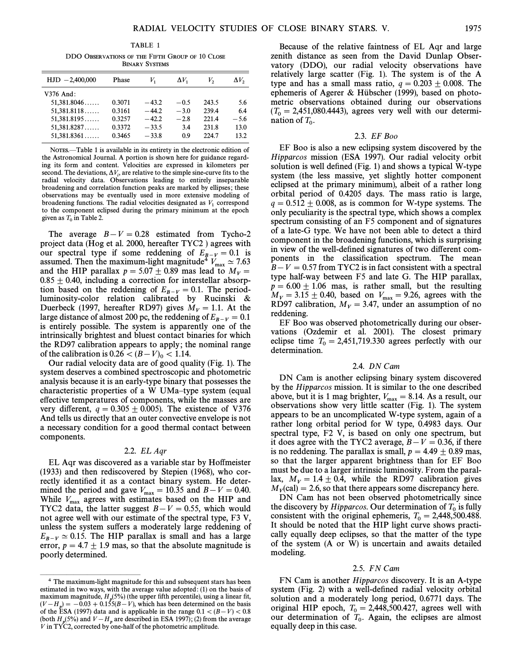DDO OBSERVATIONS OF THE FIFTH GROUP OF 10 CLOSE BINARY SYSTEMS

| $HJD -2,400,000$ | Phase  | V,      | $\Delta V_1$ | V,    | $\Delta V_2$ |
|------------------|--------|---------|--------------|-------|--------------|
| V376 And:        |        |         |              |       |              |
| 51,381.8046      | 0.3071 | $-43.2$ | $-0.5$       | 243.5 | 5.6          |
| 51,381.8118      | 0.3161 | $-44.2$ | $-3.0$       | 239.4 | 6.4          |
| 51,381.8195      | 0.3257 | $-42.2$ | $-2.8$       | 221.4 | $-5.6$       |
| 51,381.8287      | 0.3372 | $-33.5$ | 3.4          | 231.8 | 13.0         |
| 51,381.8361      | 0.3465 | $-33.8$ | 0.9          | 224.7 | 13.2         |
|                  |        |         |              |       |              |

NOTES.—Table 1 is available in its entirety in the electronic edition of the Astronomical Journal. A portion is shown here for guidance regarding its form and content. Velocities are expressed in kilometers per second. The deviations,  $\Delta V_i$ , are relative to the simple sine-curve fits to the radial velocity data. Observations leading to entirely inseparable broadening and correlation function peaks are marked by ellipses; these observations may be eventually used in more extensive modeling of broadening functions. The radial velocities designated as  $V_1$  correspond to the component eclipsed during the primary minimum at the epoch given as  $T_0$  in Table 2.

The average  $B-V = 0.28$  estimated from Tycho-2 project data (Hog et al. 2000, hereafter TYC2 ) agrees with our spectral type if some reddening of  $E_{B-V} = 0.1$  is<br>assumed Than the maximum light magnitudes  $V_{A} = 2.753$ assumed. Then the maximum-light magnitude<sup>4</sup>  $V_{\text{max}} \simeq 7.63$ <br>and the HID parallax  $r = 5.07 + 0.80$  mas lead to M and the HIP parallax  $p = 5.07 \pm 0.89$  mas lead to  $M_V =$  $0.85 \pm 0.40$ , including a correction for interstellar absorption based on the reddening of  $E_{B-V} = 0.1$ . The period-<br>luminosity solar relation solidated by Byginali, & luminosity-color relation calibrated by Rucinski & Duerbeck (1997, hereafter RD97) gives  $M_V = 1.1$ . At the large distance of almost 200 pc, the reddening of  $E_{B-V} = 0.1$ is entirely possible. The system is apparently one of the intrinsically brightest and bluest contact binaries for which the RD97 calibration appears to apply; the nominal range of the calibration is  $0.26 < (B-V)_0 < 1.14$ .

Our radial velocity data are of good quality (Fig. 1). The system deserves a combined spectroscopic and photometric analysis because it is an early-type binary that possesses the characteristic properties of a W UMa–type system (equal effective temperatures of components, while the masses are very different,  $q = 0.305 \pm 0.005$ . The existence of V376 And tells us directly that an outer convective envelope is not a necessary condition for a good thermal contact between components.

### 2.2. EL Aqr

EL Aqr was discovered as a variable star by Ho†meister (1933) and then rediscovered by Stepien (1968), who correctly identified it as a contact binary system. He determined the period and gave  $V_{\text{max}} = 10.35$  and  $B - V = 0.40$ .<br>While V agrees with estimates based on the HID and While  $V_{\text{max}}$  agrees with estimates based on the HIP and TYC2 data, the latter suggest  $B-V = 0.55$ , which would not agree well with our estimate of the spectral type, F3 V, unless the system suffers a moderately large reddening of  $E_{B-V} \simeq 0.15$ . The HIP parallax is small and has a large error,  $p = 4.7 \pm 1.9$  mas, so that the absolute magnitude is poorly determined.

ÈÈÈÈÈÈÈÈÈÈÈÈÈÈÈ

Because of the relative faintness of EL Aqr and large zenith distance as seen from the David Dunlap Observatory (DDO), our radial velocity observations have relatively large scatter (Fig. 1). The system is of the A type and has a small mass ratio,  $q = 0.203 \pm 0.008$ . The ephemeris of Agerer & Hubscher (1999), based on photometric observations obtained during our observations  $(T_0 = 2,451,080.4443)$ , agrees very well with our determination of  $T_0$ .

### 2.3. EF Boo

EF Boo is also a new eclipsing system discovered by the Hipparcos mission (ESA 1997). Our radial velocity orbit solution is well defined  $(Fig. 1)$  and shows a typical W-type system (the less massive, yet slightly hotter component eclipsed at the primary minimum), albeit of a rather long orbital period of 0.4205 days. The mass ratio is large,  $q = 0.512 \pm 0.008$ , as is common for W-type systems. The only peculiarity is the spectral type, which shows a complex spectrum consisting of an F5 component and of signatures of a late-G type. We have not been able to detect a third component in the broadening functions, which is surprising in view of the well-defined signatures of two different components in the classification spectrum. The mean  $B-V = 0.57$  from TYC2 is in fact consistent with a spectral type half-way between F5 and late G. The HIP parallax,  $p = 6.00 \pm 1.06$  mas, is rather small, but the resulting  $M_V = 3.15 \pm 0.40$ , based on  $V_{\text{max}} = 9.26$ , agrees with the VDO7 colibration  $M_{\text{max}} = 2.47$  under an equivariant of no RD97 calibration,  $M_V = 3.47$ , under an assumption of no reddening.

EF Boo was observed photometrically during our observations (Ozdemir et al. 2001). The closest primary eclipse time  $T_0 = 2{,}451{,}719.330$  agrees perfectly with our determination.

## 2.4. DN Cam

DN Cam is another eclipsing binary system discovered by the Hipparcos mission. It is similar to the one described above, but it is 1 mag brighter,  $V_{\text{max}} = 8.14$ . As a result, our observations show very little scatter (Fig. 1). The system appears to be an uncomplicated W-type system, again of a rather long orbital period for W type, 0.4983 days. Our spectral type, F2 V, is based on only one spectrum, but it does agree with the TYC2 average,  $B-V = 0.36$ , if there is no reddening. The parallax is small,  $p = 4.49 \pm 0.89$  mas, so that the larger apparent brightness than for EF Boo must be due to a larger intrinsic luminosity. From the parallax,  $M_V = 1.4 \pm 0.4$ , while the RD97 calibration gives  $M_V$ (cal) = 2.6, so that there appears some discrepancy here.

DN Cam has not been observed photometrically since the discovery by Hipparcos. Our determination of  $T_0$  is fully consistent with the original ephemeris,  $T_0 = 2,448,500.488$ .<br>It should be noted that the HID light guara charge practice It should be noted that the HIP light curve shows practically equally deep eclipses, so that the matter of the type of the system (A or W) is uncertain and awaits detailed modeling.

### 2.5. FN Cam

FN Cam is another Hipparcos discovery. It is an A-type system (Fig. 2) with a well-defined radial velocity orbital solution and a moderately long period, 0.6771 days. The original HIP epoch,  $T_0 = 2,448,500.427$ , agrees well with our determination of  $T_0$ . Again, the eclipses are almost equally deep in this case.

<sup>&</sup>lt;sup>4</sup> The maximum-light magnitude for this and subsequent stars has been estimated in two ways, with the average value adopted: (1) on the basis of maximum magnitude,  $H_p(5\%)$  (the upper fifth percentile), using a linear fit,  $(V - H_p) = -0.03 + 0.155(B - V)$ , which has been determined on the basis positive property of the property of the property of the property of the property of the property of the property of the property of the property of the pro of the ESA (1997) data and is applicable in the range  $0.1 \lt (B-V) \lt 0.8$ (both  $H_p(5\%)$  and  $V - H_p$  are described in ESA 1997); (2) from the average V in TYC2, corrected by one-half of the photometric amplitude.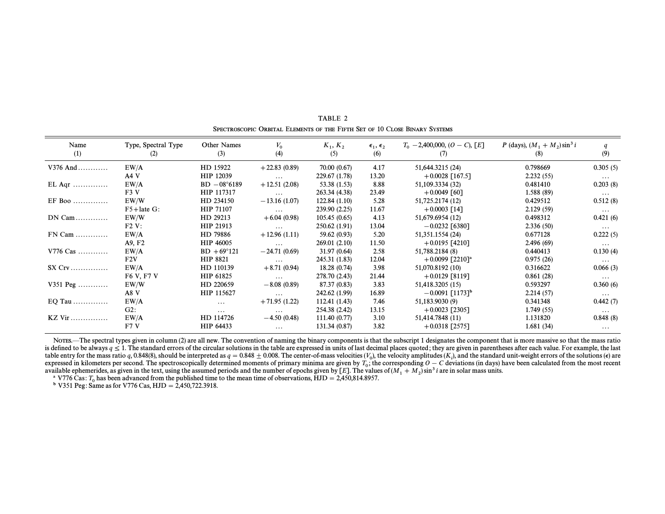| Name<br>(1) | Type, Spectral Type<br>(2) | Other Names<br>(3)   | $V_0$<br>(4)   | $K_1, K_2$<br>(5) | $\epsilon_1, \epsilon_2$<br>(6) | $T_0$ – 2,400,000, (O – C), [E]<br>(7) | <i>P</i> (days), $(M_1 + M_2) \sin^3 i$<br>(8) | (9)      |
|-------------|----------------------------|----------------------|----------------|-------------------|---------------------------------|----------------------------------------|------------------------------------------------|----------|
| $V376$ And  | EW/A                       | HD 15922             | $+22.83(0.89)$ | 70.00 (0.67)      | 4.17                            | 51,644.3215 (24)                       | 0.798669                                       | 0.305(5) |
|             | AAV                        | HIP 12039            | $\ldots$       | 229.67 (1.78)     | 13.20                           | $+0.0028$ [167.5]                      | 2.232(55)                                      | $\cdots$ |
| $EL$ Aqr    | EW/A                       | $BD - 08°6189$       | $+12.51(2.08)$ | 53.38 (1.53)      | 8.88                            | 51,109.3334 (32)                       | 0.481410                                       | 0.203(8) |
|             | F3V                        | HIP 117317           | $\ldots$       | 263.34 (4.38)     | 23.49                           | $+0.0049$ [60]                         | 1.588(89)                                      | $\cdots$ |
| $EF$ Boo    | EW/W                       | HD 234150            | $-13.16(1.07)$ | 122.84(1.10)      | 5.28                            | 51,725.2174 (12)                       | 0.429512                                       | 0.512(8) |
|             | $F5 + \text{late } G$ :    | HIP 71107            | $\cdots$       | 239.90 (2.25)     | 11.67                           | $+0.0003$ [14]                         | 2.129(59)                                      | $\cdots$ |
| $DN$ Cam    | EW/W                       | HD 29213             | $+6.04(0.98)$  | 105.45(0.65)      | 4.13                            | 51,679.6954 (12)                       | 0.498312                                       | 0.421(6) |
|             | $F2V$ :                    | HIP 21913            | $\ldots$       | 250.62(1.91)      | 13.04                           | $-0.0232$ [6380]                       | 2.336(50)                                      | $\cdots$ |
| $FN$ Cam    | EW/A                       | HD 79886             | $+12.96(1.11)$ | 59.62 (0.93)      | 5.20                            | 51,351.1554 (24)                       | 0.677128                                       | 0.222(5) |
|             | A9, F2                     | HIP 46005            | $\cdots$       | 269.01(2.10)      | 11.50                           | $+0.0195$ [4210]                       | 2.496(69)                                      | $\cdots$ |
| V776 Cas    | EW/A                       | $BD + 69^{\circ}121$ | $-24.71(0.69)$ | 31.97 (0.64)      | 2.58                            | 51,788.2184 (8)                        | 0.440413                                       | 0.130(4) |
|             | F2V                        | HIP 8821             | $\ldots$       | 245.31 (1.83)     | 12.04                           | $+0.0099$ [2210] <sup>a</sup>          | 0.975(26)                                      | $\cdots$ |
| $SX$ $Crv$  | EW/A                       | HD 110139            | $+8.71(0.94)$  | 18.28(0.74)       | 3.98                            | 51,070.8192 (10)                       | 0.316622                                       | 0.066(3) |
|             | F6 V, F7 V                 | HIP 61825            | $\ldots$       | 278.70 (2.43)     | 21.44                           | $+0.0129$ [8119]                       | 0.861(28)                                      | $\cdots$ |
| V351 Peg    | EW/W                       | HD 220659            | $-8.08(0.89)$  | 87.37 (0.83)      | 3.83                            | 51,418.3205 (15)                       | 0.593297                                       | 0.360(6) |
|             | A8 V                       | HIP 115627           | $\ldots$       | 242.62 (1.99)     | 16.89                           | $-0.0091$ [1173] <sup>b</sup>          | 2.214(57)                                      | $\cdots$ |
| EQ Tau      | EW/A                       | $\cdots$             | $+71.95(1.22)$ | 112.41 (1.43)     | 7.46                            | 51,183.9030 (9)                        | 0.341348                                       | 0.442(7) |
|             | G2:                        | $\cdots$             | $\cdots$       | 254.38 (2.42)     | 13.15                           | $+0.0023$ [2305]                       | 1.749(55)                                      | $\cdots$ |
| $KZ$ Vir    | EW/A                       | HD 114726            | $-4.50(0.48)$  | 111.40 (0.77)     | 3.10                            | 51,414.7848 (11)                       | 1.131820                                       | 0.848(8) |
|             | F7V                        | HIP 64433            | $\cdots$       | 131.34 (0.87)     | 3.82                            | $+0.0318$ [2575]                       | 1.681(34)                                      | $\cdots$ |

TABLE 2 SPECTROSCOPIC ORBITAL ELEMENTS OF THE FIFTH SET OF 10 CLOSE BINARY SYSTEMS

Notes.—The spectral types given in column (2) are all new. The convention of naming the binary components is that the subscript 1 designates the component that is more massive so that the mass ratio is defined to be always  $q \le 1$ . The standard errors of the circular solutions in the table are expressed in units of last decimal places quoted; they are given in parentheses after each value. For example, the last table entry for the mass ratio q, 0.848(8), should be interpreted as  $q = 0.848 \pm 0.008$ . The center-of-mass velocities (V<sub>0</sub>), the velocity amplitudes (K<sub>i</sub>), and the standard unit-weight errors of the solutions (e) are expressed in kilometers per second. The spectroscopically determined moments of primary minima are given by  $T_0$ ; the corresponding  $O-C$  deviations (in days) have been calculated from the most recent available ephemerides, as given in the text, using the assumed periods and the number of epochs given by  $[E]$ . The values of  $(M_1 + M_2) \sin^3 i$  are in solar mass units.

<sup>a</sup> V776 Cas:  $T_0$  has been advanced from the published time to the mean time of observations, HJD = 2,450,814.8957.

<sup>b</sup> V351 Peg: Same as for V776 Cas, HJD = 2,450,722.3918.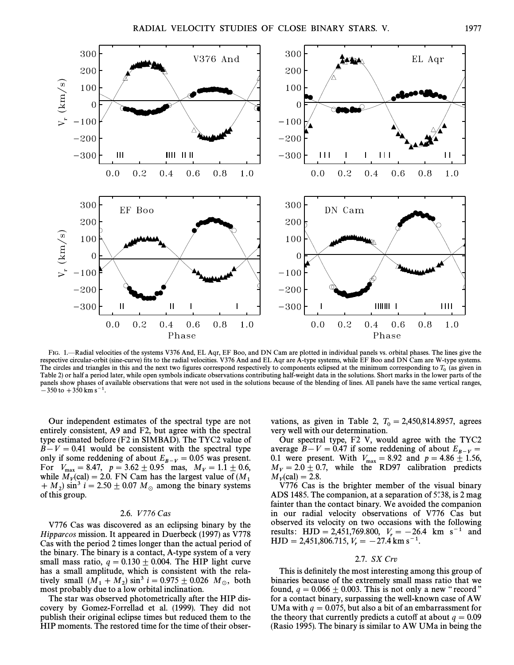

FIG. 1<sup>-</sup>Radial velocities of the systems V376 And, EL Aqr, EF Boo, and DN Cam are plotted in individual panels vs. orbital phases. The lines give the respective circular-orbit (sine-curve) fits to the radial velocities. V376 And and EL Aqr are A-type systems, while EF Boo and DN Cam are W-type systems. The circles and triangles in this and the next two figures correspond respectively to components eclipsed at the minimum corresponding to  $T_0$  (as given in Table 2) or half a period later, while open symbols indicate observations contributing half-weight data in the solutions. Short marks in the lower parts of the panels show phases of available observations that were not used in the solutions because of the blending of lines. All panels have the same vertical ranges,  $-350$  to  $+350$  km s<sup>-1</sup>.

Our independent estimates of the spectral type are not entirely consistent, A9 and F2, but agree with the spectral type estimated before (F2 in SIMBAD). The TYC2 value of  $B-V = 0.41$  would be consistent with the spectral type only if some reddening of about  $E_{B-V} = 0.05$  was present. For  $V_{\text{max}} = 8.47, p = 3.62 \pm 0.95$  mas,  $M_V = 1.1 \pm 0.6$ , while  $M_{V}(\text{cal}) = 2.0$  EN Cam has the largest value of  $(M_{V})$ while  $M_V$ (cal) = 2.0. FN Cam has the largest value of  $(M_1 + M_2) \sin^3 i = 2.50 \pm 0.07 M_\odot$  among the binary systems of this group.  $+ M_2$ ) sin<sup>3</sup> i = 2.50  $\pm$  0.07 M<sub>\opp</sub> among the binary systems of this group.

## 2.6. *V*776 Cas

V776 Cas was discovered as an eclipsing binary by the Hipparcos mission. It appeared in Duerbeck (1997) as V778 Cas with the period 2 times longer than the actual period of the binary. The binary is a contact, A-type system of a very small mass ratio,  $q = 0.130 \pm 0.004$ . The HIP light curve has a small amplitude, which is consistent with the relatively small  $(M_1 + M_2) \sin^3 i = 0.975 \pm 0.026$   $M_\odot$ , both most probably due to a low orbital inclination.

The star was observed photometrically after the HIP discovery by Gomez-Forrellad et al. (1999). They did not publish their original eclipse times but reduced them to the HIP moments. The restored time for the time of their obser-

vations, as given in Table 2,  $T_0 = 2,450,814.8957$ , agrees very well with our determination.

Our spectral type, F2 V, would agree with the TYC2 average  $\overline{B} - V = 0.47$  if some reddening of about  $E_{B-V} =$ average  $B - V = 0.4$  I some reddening of about  $E_{B-V} = 0.1$  were present. With  $V_{\text{max}} = 8.92$  and  $p = 4.86 \pm 1.56$ ,  $M = 2.9 \pm 0.7$  while the BD07 colibration prodicts  $M_V = 2.0 \pm 0.7$ , while the RD97 calibration predicts  $M_V$ (cal) = 2.8.

V776 Cas is the brighter member of the visual binary ADS 1485. The companion, at a separation of  $5\degree,38$ , is 2 mag fainter than the contact binary. We avoided the companion in our radial velocity observations of V776 Cas but observed its velocity on two occasions with the following results:  $HJD = 2,451,769.800, V_r = -26.4$  km s<sup>-1</sup> and  $HJD = 2,451,806.715, V_r = -27.4 \text{ km s}^{-1}.$ 

# 2.7. SX Crv

This is definitely the most interesting among this group of binaries because of the extremely small mass ratio that we found,  $q = 0.066 \pm 0.003$ . This is not only a new "record" for a contact binary, surpassing the well-known case of AW UMa with  $q = 0.075$ , but also a bit of an embarrassment for the theory that currently predicts a cutoff at about  $q = 0.09$ (Rasio 1995). The binary is similar to AW UMa in being the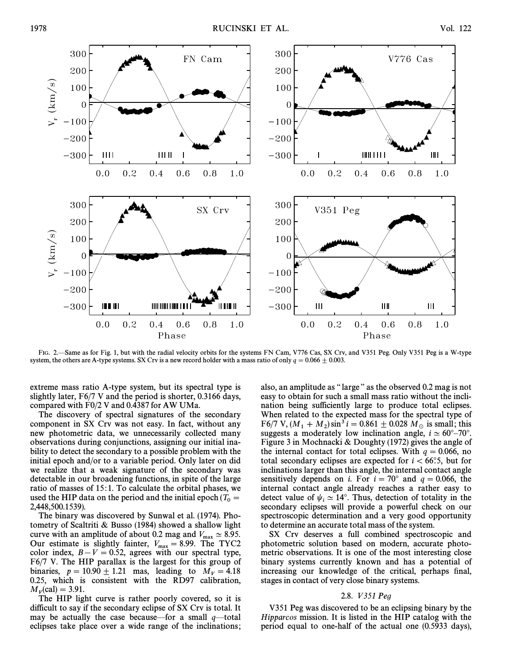

FIG. 2—Same as for Fig. 1, but with the radial velocity orbits for the systems FN Cam, V776 Cas, SX Crv, and V351 Peg. Only V351 Peg is a W-type system, the others are A-type systems. SX Crv is a new record holder with a mass ratio of only  $q = 0.066 \pm 0.003$ .

extreme mass ratio A-type system, but its spectral type is slightly later, F6/7 V and the period is shorter, 0.3166 days, compared with F0/2 V and 0.4387 for AW UMa.

The discovery of spectral signatures of the secondary component in SX Crv was not easy. In fact, without any new photometric data, we unnecessarily collected many observations during conjunctions, assigning our initial inability to detect the secondary to a possible problem with the initial epoch and/or to a variable period. Only later on did we realize that a weak signature of the secondary was detectable in our broadening functions, in spite of the large ratio of masses of 15:1. To calculate the orbital phases, we used the HIP data on the period and the initial epoch ( $T_0 = 2.448,500,1520$ ) 2,448,500.1539).

The binary was discovered by Sunwal et al. (1974). Photometry of Scaltriti & Busso (1984) showed a shallow light curve with an amplitude of about 0.2 mag and  $V_{\text{max}} \approx 8.95$ .<br>Our estimate is elightly fainter  $V_{\text{max}} = 8.90$ . The TVC Our estimate is slightly fainter,  $V_{\text{max}} = 8.99$ . The TYC2 color index,  $B - V = 0.52$ , agrees with our spectral type, F6/7 V. The HIP parallax is the largest for this group of binaries,  $p = 10.90 \pm 1.21$  mas, leading to  $M_V = 4.18$ 0.25, which is consistent with the RD97 calibration,  $M_V$ (cal) = 3.91.

The HIP light curve is rather poorly covered, so it is difficult to say if the secondary eclipse of SX Crv is total. It may be actually the case because—for a small  $q$ —total eclipses take place over a wide range of the inclinations;

also, an amplitude as "large" as the observed 0.2 mag is not easy to obtain for such a small mass ratio without the inclination being sufficiently large to produce total eclipses. When related to the expected mass for the spectral type of F6/7 V,  $(M_1 + M_2) \sin^3 i = 0.861 \pm 0.028 M_\odot$  is small; this suggests a moderately low inclination angle is 60° 70° suggests a moderately low inclination angle,  $i \approx 60^{\circ}$ –70°. Figure 3 in Mochnacki & Doughty (1972) gives the angle of the internal contact for total eclipses. With  $q = 0.066$ , no total secondary eclipses are expected for  $i < 66°.5$ , but for inclinations larger than this angle, the internal contact angle sensitively depends on *i*. For  $i = 70°$  and  $q = 0.066$ , the internal contact angle already reaches a rather easy to detect value of  $\psi_i \simeq 14^\circ$ . Thus, detection of totality in the secondary eclipses will provide a powerful check on our spectroscopic determination and a very good opportunity to determine an accurate total mass of the system.

SX Crv deserves a full combined spectroscopic and photometric solution based on modern, accurate photometric observations. It is one of the most interesting close binary systems currently known and has a potential of increasing our knowledge of the critical, perhaps final, stages in contact of very close binary systems.

# 2.8. V 351 Peg

V351 Peg was discovered to be an eclipsing binary by the Hipparcos mission. It is listed in the HIP catalog with the period equal to one-half of the actual one (0.5933 days),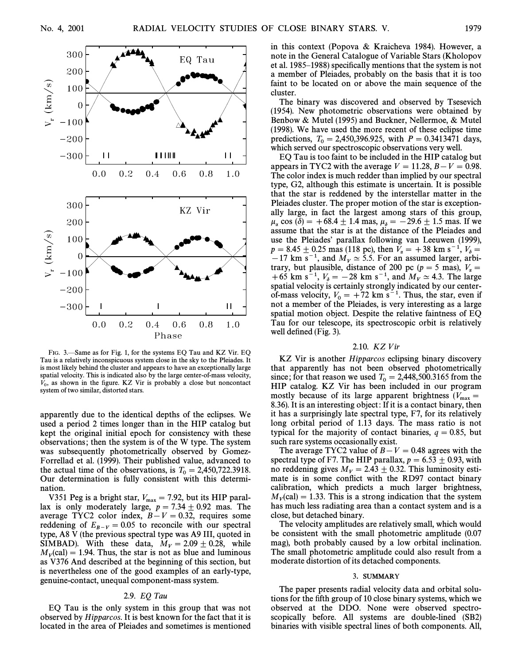

FIG. 3.—Same as for Fig. 1, for the systems EO Tau and KZ Vir. EO Tau is a relatively inconspicuous system close in the sky to the Pleiades. It is most likely behind the cluster and appears to have an exceptionally large spatial velocity. This is indicated also by the large center-of-mass velocity,  $V_0$ , as shown in the figure. KZ Vir is probably a close but noncontact system of two similar, distorted stars.

apparently due to the identical depths of the eclipses. We used a period 2 times longer than in the HIP catalog but kept the original initial epoch for consistency with these observations; then the system is of the W type. The system was subsequently photometrically observed by Gomez-Forrellad et al. (1999). Their published value, advanced to the actual time of the observations, is  $T_0 = 2,450,722.3918$ . Our determination is fully consistent with this determination.

V351 Peg is a bright star,  $V_{\text{max}} = 7.92$ , but its HIP parallax is only moderately large,  $p = 7.34 \pm 0.92$  mas. The average TYC2 color index,  $B - V = 0.32$ , requires some reddening of  $E_{B-V} = 0.05$  to reconcile with our spectral<br>time A<sup>9</sup>N (the gassing spectral time area A0 III such a in type, A8 V (the previous spectral type was A9 III, quoted in SIMBAD). With these data,  $M_V = 2.09 \pm 0.28$ , while  $M_V$ (cal) = 1.94. Thus, the star is not as blue and luminous as V376 And described at the beginning of this section, but is nevertheless one of the good examples of an early-type, genuine-contact, unequal component-mass system.

## 2.9. EQ Tau

EQ Tau is the only system in this group that was not observed by Hipparcos. It is best known for the fact that it is located in the area of Pleiades and sometimes is mentioned in this context (Popova & Kraicheva 1984). However, a note in the General Catalogue of Variable Stars (Kholopov et al. 1985–1988) specifically mentions that the system is not a member of Pleiades, probably on the basis that it is too faint to be located on or above the main sequence of the cluster.

The binary was discovered and observed by Tsesevich (1954). New photometric observations were obtained by Benbow & Mutel (1995) and Buckner, Nellermoe, & Mutel (1998). We have used the more recent of these eclipse time predictions,  $T_0 = 2,450,396.925$ , with  $P = 0.3413471$  days, which served our spectroscopic observations very well.

EQ Tau is too faint to be included in the HIP catalog but appears in TYC2 with the average  $V = 11.28, B - V = 0.98$ . The color index is much redder than implied by our spectral type, G2, although this estimate is uncertain. It is possible that the star is reddened by the interstellar matter in the Pleiades cluster. The proper motion of the star is exceptionally large, in fact the largest among stars of this group,  $\mu_{\alpha}$  cos ( $\delta$ ) = +68.4  $\pm$  1.4 mas,  $\mu_{\delta}$  = -29.6  $\pm$  1.5 mas. If we assume that the star is at the distance of the Pleiades and use the Pleiades' parallax following van Leeuwen (1999),  $p = 8.45 \pm 0.25$  mas (118 pc), then  $V_{\alpha} = +38$  km s<sup>-1</sup>,  $V_{\delta} =$  $\frac{1}{2}$  – 17 km s<sup>-1</sup>, and  $\hat{M}_V \simeq 5.5$ . For an assumed larger, arbitrary, but plausible, distance of 200 pc ( $p = 5$  mas),  $V_{\alpha} =$ trary, but plausible, distance of 200 pc ( $p = 5$  mas),  $v_a = +65$  km s<sup>-1</sup>,  $V_b = -28$  km s<sup>-1</sup>, and  $M_V \approx 4.3$ . The large spatial velocity is certainly strongly indicated by our centerof-mass velocity,  $V_0 = +72$  km s<sup>-1</sup>. Thus, the star, even if of mass velocity,  $v_0 = +72$  km s  $\cdot$  a ring, the star, even in not a member of the Pleiades, is very interesting as a large spatial motion object. Despite the relative faintness of EQ Tau for our telescope, its spectroscopic orbit is relatively well defined  $(Fig. 3)$ .

# 2.10. KZ Vir

KZ Vir is another Hipparcos eclipsing binary discovery that apparently has not been observed photometrically since; for that reason we used  $T_0 = 2,448,500.3165$  from the UID sateles KZ Vin has been included in any program HIP catalog. KZ Vir has been included in our program mostly because of its large apparent brightness  $(V_{\text{max}} = 8.26)$  It is an interacting abiast. If it is a contact binary than 8.36). It is an interesting object: If it is a contact binary, then it has a surprisingly late spectral type, F7, for its relatively long orbital period of 1.13 days. The mass ratio is not typical for the majority of contact binaries,  $q = 0.85$ , but such rare systems occasionally exist.

The average TYC2 value of  $B - V = 0.48$  agrees with the spectral type of F7. The HIP parallax,  $p = 6.53 \pm 0.93$ , with no reddening gives  $M_V = 2.43 \pm 0.32$ . This luminosity estimate is in some conflict with the RD97 contact binary calibration, which predicts a much larger brightness,  $M_V$ (cal) = 1.33. This is a strong indication that the system has much less radiating area than a contact system and is a close, but detached binary.

The velocity amplitudes are relatively small, which would be consistent with the small photometric amplitude (0.07 mag), both probably caused by a low orbital inclination. The small photometric amplitude could also result from a moderate distortion of its detached components.

### <sup>3</sup>. SUMMARY

The paper presents radial velocity data and orbital solutions for the fifth group of 10 close binary systems, which we observed at the DDO. None were observed spectroscopically before. All systems are double-lined (SB2) binaries with visible spectral lines of both components. All,